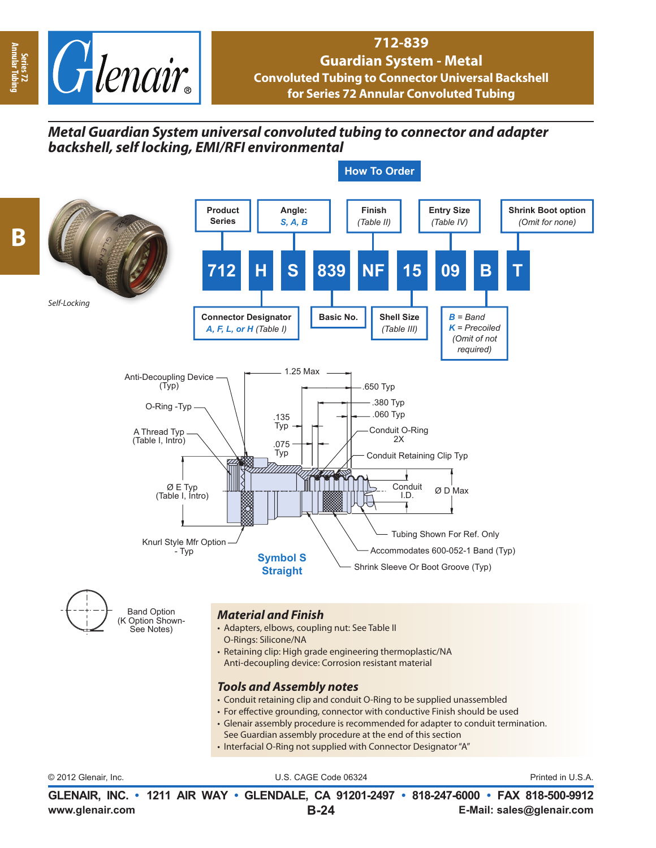

**Series 72 Annular Tubing**

**B**

## **712-839 Guardian System - Metal Convoluted Tubing to Connector Universal Backshell for Series 72 Annular Convoluted Tubing**

## *Metal Guardian System universal convoluted tubing to connector and adapter backshell, self locking, EMI/RFI environmental*



**www.glenair.com E-Mail: sales@glenair.com GLENAIR, INC. • 1211 AIR WAY • GLENDALE, CA 91201-2497 • 818-247-6000 • FAX 818-500-9912 B-24**